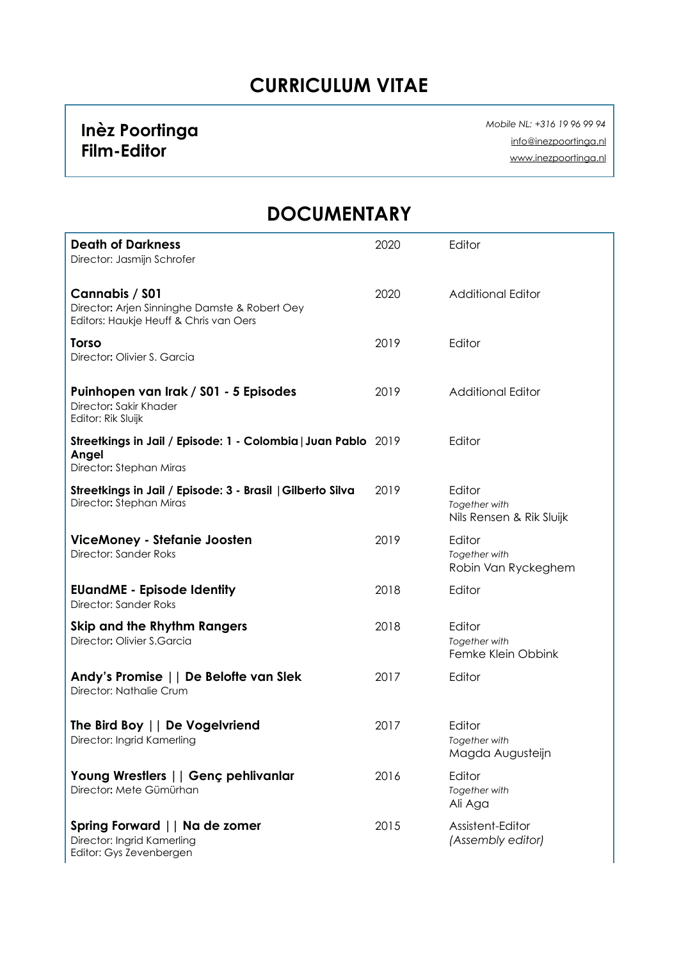#### **CURRICULUM VITAE**

#### **Inèz Poortinga Film-Editor**

 *Mobile NL: +316 19 96 99 94*  [info@inezpoortinga.nl](mailto:info@inezpoortinga.nl) [www.inezpoortinga.nl](http://www.inezpoortinga.nl)

#### **DOCUMENTARY**

| <b>Death of Darkness</b><br>Director: Jasmijn Schrofer                                                    | 2020 | Editor                                              |
|-----------------------------------------------------------------------------------------------------------|------|-----------------------------------------------------|
| Cannabis / S01<br>Director: Arjen Sinninghe Damste & Robert Oey<br>Editors: Haukje Heuff & Chris van Oers | 2020 | <b>Additional Editor</b>                            |
| <b>Torso</b><br>Director: Olivier S. Garcia                                                               | 2019 | Editor                                              |
| Puinhopen van Irak / S01 - 5 Episodes<br>Director: Sakir Khader<br>Editor: Rik Sluijk                     | 2019 | <b>Additional Editor</b>                            |
| Streetkings in Jail / Episode: 1 - Colombia   Juan Pablo 2019<br>Angel<br>Director: Stephan Miras         |      | Editor                                              |
| Streetkings in Jail / Episode: 3 - Brasil   Gilberto Silva<br>Director: Stephan Miras                     | 2019 | Editor<br>Together with<br>Nils Rensen & Rik Sluijk |
| ViceMoney - Stefanie Joosten<br>Director: Sander Roks                                                     | 2019 | Editor<br>Together with<br>Robin Van Ryckeghem      |
| <b>EUandME - Episode Identity</b><br>Director: Sander Roks                                                | 2018 | Editor                                              |
| Skip and the Rhythm Rangers<br>Director: Olivier S.Garcia                                                 | 2018 | Editor<br>Together with<br>Femke Klein Obbink       |
| Andy's Promise     De Belofte van Slek<br>Director: Nathalie Crum                                         | 2017 | Editor                                              |
| The Bird Boy     De Vogelvriend<br>Director: Ingrid Kamerling                                             | 2017 | Editor<br>Together with<br>Magda Augusteijn         |
| Young Wrestlers     Genç pehlivanlar<br>Director: Mete Gümürhan                                           | 2016 | Editor<br>Together with<br>Ali Aga                  |
| Spring Forward     Na de zomer<br>Director: Ingrid Kamerling<br>Editor: Gys Zevenbergen                   | 2015 | Assistent-Editor<br>(Assembly editor)               |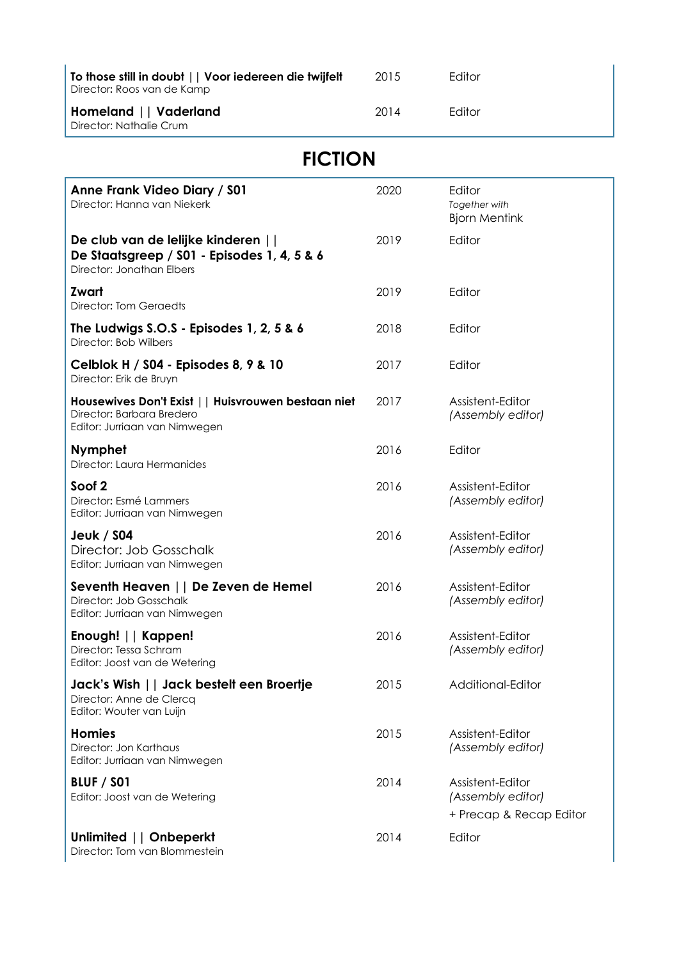| To those still in doubt     Voor iedereen die twijfelt<br>Director: Roos van de Kamp | 2015 | Editor |
|--------------------------------------------------------------------------------------|------|--------|
| Homeland    Vaderland<br>Director: Nathalie Crum                                     | 2014 | Fditor |

## **FICTION**

| Anne Frank Video Diary / \$01<br>Director: Hanna van Niekerk                                                      | 2020 | Editor<br>Together with<br><b>Bjorn Mentink</b>                  |
|-------------------------------------------------------------------------------------------------------------------|------|------------------------------------------------------------------|
| De club van de lelijke kinderen   <br>De Staatsgreep / S01 - Episodes 1, 4, 5 & 6<br>Director: Jonathan Elbers    | 2019 | Editor                                                           |
| Zwart<br>Director: Tom Geraedts                                                                                   | 2019 | Editor                                                           |
| The Ludwigs S.O.S - Episodes 1, 2, 5 & 6<br>Director: Bob Wilbers                                                 | 2018 | Editor                                                           |
| Celblok H / S04 - Episodes 8, 9 & 10<br>Director: Erik de Bruyn                                                   | 2017 | Editor                                                           |
| Housewives Don't Exist     Huisvrouwen bestaan niet<br>Director: Barbara Bredero<br>Editor: Jurriaan van Nimwegen | 2017 | Assistent-Editor<br>(Assembly editor)                            |
| <b>Nymphet</b><br>Director: Laura Hermanides                                                                      | 2016 | Editor                                                           |
| Soof <sub>2</sub><br>Director: Esmé Lammers<br>Editor: Jurriaan van Nimwegen                                      | 2016 | Assistent-Editor<br>(Assembly editor)                            |
| <b>Jeuk / S04</b><br>Director: Job Gosschalk<br>Editor: Jurriaan van Nimwegen                                     | 2016 | Assistent-Editor<br>(Assembly editor)                            |
| Seventh Heaven     De Zeven de Hemel<br>Director: Job Gosschalk<br>Editor: Jurriaan van Nimwegen                  | 2016 | Assistent-Editor<br>(Assembly editor)                            |
| Enough!     Kappen!<br>Director: Tessa Schram<br>Editor: Joost van de Wetering                                    | 2016 | Assistent-Editor<br>(Assembly editor)                            |
| Jack's Wish    Jack bestelt een Broertje<br>Director: Anne de Clercq<br>Editor: Wouter van Luijn                  | 2015 | Additional-Editor                                                |
| <b>Homies</b><br>Director: Jon Karthaus<br>Editor: Jurriaan van Nimwegen                                          | 2015 | Assistent-Editor<br>(Assembly editor)                            |
| <b>BLUF / SO1</b><br>Editor: Joost van de Wetering                                                                | 2014 | Assistent-Editor<br>(Assembly editor)<br>+ Precap & Recap Editor |
| Unlimited     Onbeperkt<br>Director: Tom van Blommestein                                                          | 2014 | Editor                                                           |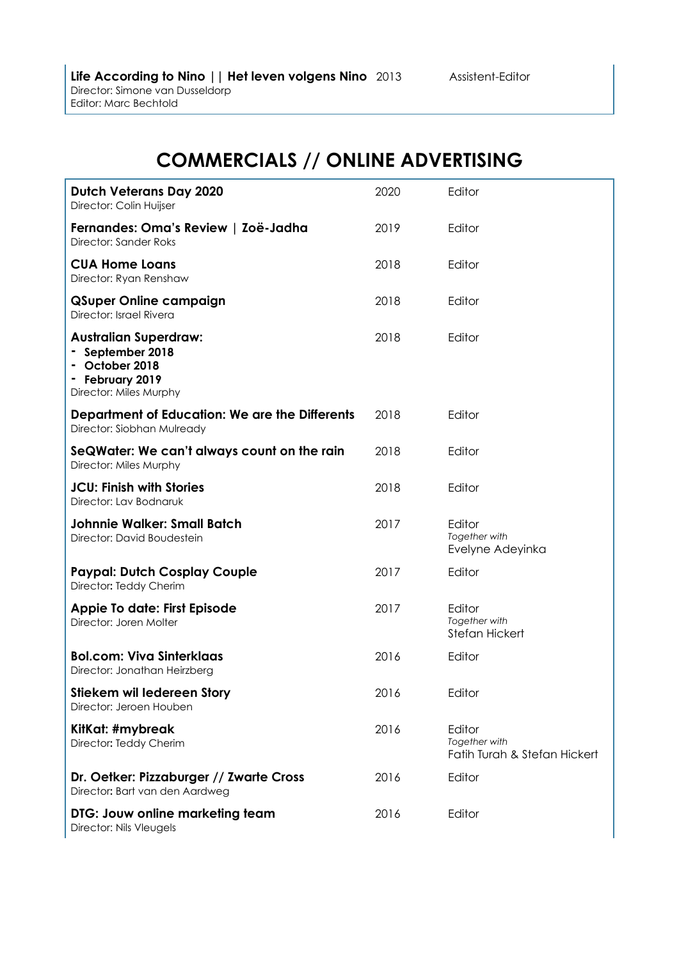### **COMMERCIALS // ONLINE ADVERTISING**

| <b>Dutch Veterans Day 2020</b><br>Director: Colin Huijser                                                     | 2020 | Editor                                                  |
|---------------------------------------------------------------------------------------------------------------|------|---------------------------------------------------------|
| Fernandes: Oma's Review   Zoë-Jadha<br>Director: Sander Roks                                                  | 2019 | Editor                                                  |
| <b>CUA Home Loans</b><br>Director: Ryan Renshaw                                                               | 2018 | Editor                                                  |
| <b>QSuper Online campaign</b><br>Director: Israel Rivera                                                      | 2018 | Editor                                                  |
| <b>Australian Superdraw:</b><br>- September 2018<br>October 2018<br>- February 2019<br>Director: Miles Murphy | 2018 | Editor                                                  |
| Department of Education: We are the Differents<br>Director: Siobhan Mulready                                  | 2018 | Editor                                                  |
| SeQWater: We can't always count on the rain<br>Director: Miles Murphy                                         | 2018 | Editor                                                  |
| <b>JCU: Finish with Stories</b><br>Director: Lav Bodnaruk                                                     | 2018 | Editor                                                  |
| <b>Johnnie Walker: Small Batch</b><br>Director: David Boudestein                                              | 2017 | Editor<br>Together with<br>Evelyne Adeyinka             |
| <b>Paypal: Dutch Cosplay Couple</b><br>Director: Teddy Cherim                                                 | 2017 | Editor                                                  |
| Appie To date: First Episode<br>Director: Joren Molter                                                        | 2017 | Editor<br>Together with<br>Stefan Hickert               |
| <b>Bol.com: Viva Sinterklaas</b><br>Director: Jonathan Heirzberg                                              | 2016 | Editor                                                  |
| Stiekem wil ledereen Story<br>Director: Jeroen Houben                                                         | 2016 | Editor                                                  |
| KitKat: #mybreak<br>Director: Teddy Cherim                                                                    | 2016 | Editor<br>Together with<br>Fatih Turah & Stefan Hickert |
| Dr. Oetker: Pizzaburger // Zwarte Cross<br>Director: Bart van den Aardweg                                     | 2016 | Editor                                                  |
| DTG: Jouw online marketing team<br>Director: Nils Vleugels                                                    | 2016 | Editor                                                  |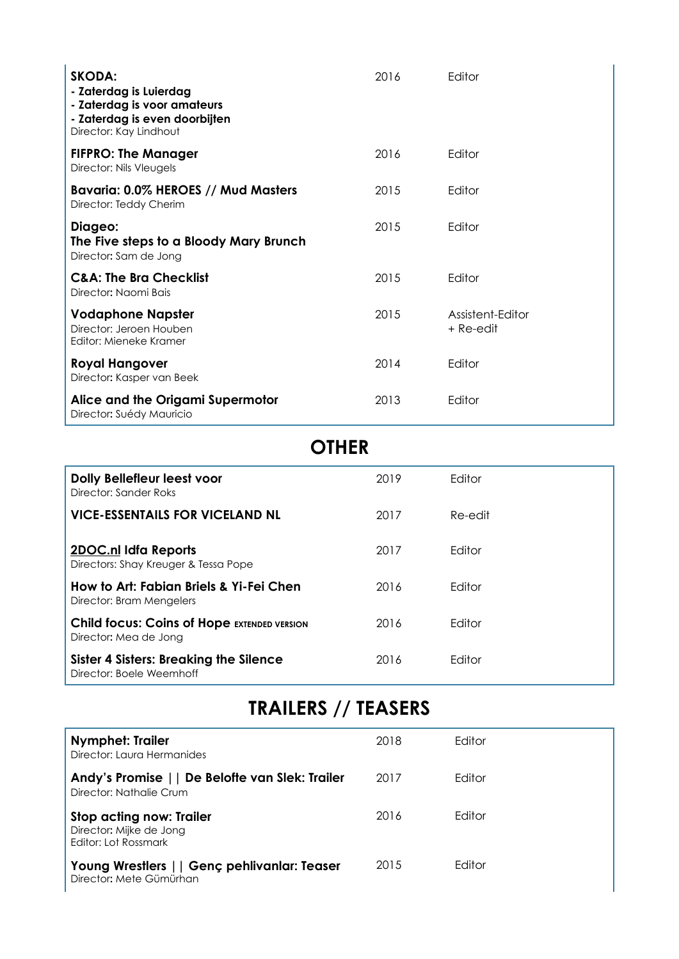| <b>SKODA:</b><br>- Zaterdag is Luierdag<br>- Zaterdag is voor amateurs<br>- Zaterdag is even doorbijten<br>Director: Kay Lindhout | 2016 | Editor                        |
|-----------------------------------------------------------------------------------------------------------------------------------|------|-------------------------------|
| <b>FIFPRO: The Manager</b><br>Director: Nils Vleugels                                                                             | 2016 | Editor                        |
| Bavaria: 0.0% HEROES // Mud Masters<br>Director: Teddy Cherim                                                                     | 2015 | Editor                        |
| Diageo:<br>The Five steps to a Bloody Mary Brunch<br>Director: Sam de Jong                                                        | 2015 | Editor                        |
| <b>C&amp;A: The Bra Checklist</b><br>Director: Naomi Bais                                                                         | 2015 | Editor                        |
| <b>Vodaphone Napster</b><br>Director: Jeroen Houben<br>Editor: Mieneke Kramer                                                     | 2015 | Assistent-Editor<br>+ Re-edit |
| <b>Royal Hangover</b><br>Director: Kasper van Beek                                                                                | 2014 | Editor                        |
| Alice and the Origami Supermotor<br>Director: Suédy Mauricio                                                                      | 2013 | Editor                        |

#### **OTHER**

| Dolly Bellefleur leest voor<br>Director: Sander Roks                        | 2019 | Editor         |
|-----------------------------------------------------------------------------|------|----------------|
| <b>VICE-ESSENTAILS FOR VICELAND NL</b>                                      | 2017 | Re-edit        |
| <b>2DOC.nl Idfa Reports</b><br>Directors: Shay Kreuger & Tessa Pope         | 2017 | <b>F</b> ditor |
| How to Art: Fabian Briels & Yi-Fei Chen<br>Director: Bram Mengelers         | 2016 | Editor         |
| <b>Child focus: Coins of Hope EXTENDED VERSION</b><br>Director: Mea de Jong | 2016 | Editor         |
| <b>Sister 4 Sisters: Breaking the Silence</b><br>Director: Boele Weemhoff   | 2016 | Editor         |

## **TRAILERS // TEASERS**

| <b>Nymphet: Trailer</b><br>Director: Laura Hermanides                       | 2018 | Editor        |
|-----------------------------------------------------------------------------|------|---------------|
| Andy's Promise     De Belofte van Slek: Trailer<br>Director: Nathalie Crum  | 2017 | <b>Fditor</b> |
| Stop acting now: Trailer<br>Director: Mijke de Jong<br>Editor: Lot Rossmark | 2016 | Editor        |
| Young Wrestlers     Genç pehlivanlar: Teaser<br>Director: Mete Gümürhan     | 2015 | <b>Fditor</b> |